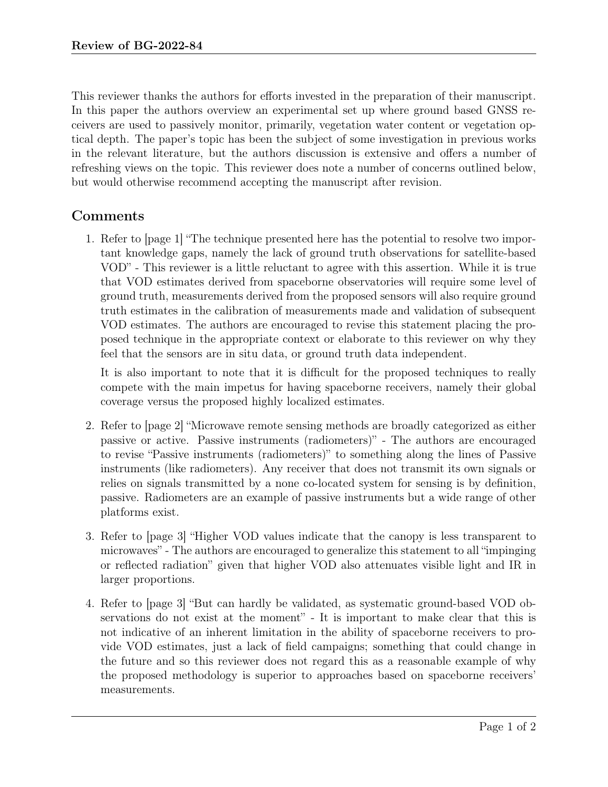This reviewer thanks the authors for efforts invested in the preparation of their manuscript. In this paper the authors overview an experimental set up where ground based GNSS receivers are used to passively monitor, primarily, vegetation water content or vegetation optical depth. The paper's topic has been the subject of some investigation in previous works in the relevant literature, but the authors discussion is extensive and offers a number of refreshing views on the topic. This reviewer does note a number of concerns outlined below, but would otherwise recommend accepting the manuscript after revision.

## Comments

1. Refer to [page 1] "The technique presented here has the potential to resolve two important knowledge gaps, namely the lack of ground truth observations for satellite-based VOD" - This reviewer is a little reluctant to agree with this assertion. While it is true that VOD estimates derived from spaceborne observatories will require some level of ground truth, measurements derived from the proposed sensors will also require ground truth estimates in the calibration of measurements made and validation of subsequent VOD estimates. The authors are encouraged to revise this statement placing the proposed technique in the appropriate context or elaborate to this reviewer on why they feel that the sensors are in situ data, or ground truth data independent.

It is also important to note that it is difficult for the proposed techniques to really compete with the main impetus for having spaceborne receivers, namely their global coverage versus the proposed highly localized estimates.

- 2. Refer to [page 2] "Microwave remote sensing methods are broadly categorized as either passive or active. Passive instruments (radiometers)" - The authors are encouraged to revise "Passive instruments (radiometers)" to something along the lines of Passive instruments (like radiometers). Any receiver that does not transmit its own signals or relies on signals transmitted by a none co-located system for sensing is by definition, passive. Radiometers are an example of passive instruments but a wide range of other platforms exist.
- 3. Refer to [page 3] "Higher VOD values indicate that the canopy is less transparent to microwaves" - The authors are encouraged to generalize this statement to all "impinging or reflected radiation" given that higher VOD also attenuates visible light and IR in larger proportions.
- 4. Refer to [page 3] "But can hardly be validated, as systematic ground-based VOD observations do not exist at the moment" - It is important to make clear that this is not indicative of an inherent limitation in the ability of spaceborne receivers to provide VOD estimates, just a lack of field campaigns; something that could change in the future and so this reviewer does not regard this as a reasonable example of why the proposed methodology is superior to approaches based on spaceborne receivers' measurements.